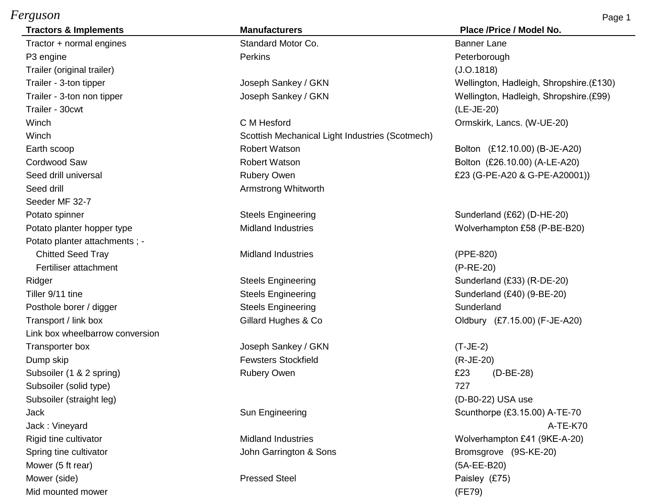## *Ferguson* Page 1

Tractor + normal engines Tractor + normal engines Standard Motor Co. The Standard Motor Co. P3 engine Perkins Perkins Perkins Perkins Perkins Person Peterborough Trailer (original trailer) (J.O.1818) Trailer - 30cwt (LE-JE-20) Seed drill **Seed drill** Armstrong Whitworth Seeder MF 32-7 Potato spinner and Steels Engineering Steels Engineering Sunderland (£62) (D-HE-20) Potato planter hopper type **Midland Industries** Midland Industries Wolverhampton £58 (P-BE-B20) Potato planter attachments ; - Chitted Seed Tray **Chitted Seed Tray** Midland Industries (PPE-820) Fertiliser attachment (P-RE-20) Ridger Steels Engineering Steels Engineering Sunderland (£33) (R-DE-20) Tiller 9/11 tine Steels Engineering Steels Engineering Sunderland (£40) (9-BE-20) Posthole borer / digger  $\qquad \qquad$  Steels Engineering Sunderland Sunderland Transport / link box Gillard Hughes & Co Class Co Class Co Class Co Class Co Class Co Class Co Class Co Class Co Class Co Class Co Class Co Class Co Class Co Class Co Class Co Class Co Class Co Class Co Class Co Class Co C Link box wheelbarrow conversion Transporter box Joseph Sankey / GKN (T-JE-2) Dump skip Fewsters Stockfield (R-JE-20) Subsoiler (1 & 2 spring) The Rubery Owen **EXA CONSERVITY CONSERVITY CONSERVITY CONSERVITY CONSERVITY** Rubery Owen Subsoiler (solid type) 727 Subsoiler (straight leg) (D-B0-22) USA use Jack Sun Engineering Scunthorpe (£3.15.00) A-TE-70 Spring tine cultivator **Supering time cultivator** Assemble 3 John Garrington & Sons **Bromsgrove** (9S-KE-20) Mower (5 ft rear) (5A-EE-B20) Mower (side) **Pressed Steel Paisley (£75)** Pressed Steel Paisley (£75)

**Tractors & Implements Manufacturers Place /Price / Model No.**

Winch C M Hesford C M Hesford C M Hesford C M Hesford C M Hesford C M Hesford C M Hesford C M Hesford C M Hesford C M Hesford C M Hesford C M Hesford C M Hesford C M Hesford C M Hesford C M Hesford C M Hesford C M Hesford Winch Scottish Mechanical Light Industries (Scotmech) Earth scoop **Example 20** Robert Watson **Robert Watson** Bolton (£12.10.00) (B-JE-A20) Cordwood Saw Robert Watson Bolton (£26.10.00) (A-LE-A20) Seed drill universal **E23** (G-PE-A20001) Rubery Owen **E23** (G-PE-A20 & G-PE-A20001)

Trailer - 3-ton tipper Trailer - 3-ton tipper CET30) Trailer - 3-ton non tipper Joseph Sankey / GKN Wellington, Hadleigh, Shropshire.(£99)

Jack : Vineyard A-TE-K70 Rigid tine cultivator **Midland Industries** Midland Industries **Midland Industries** Wolverhampton £41 (9KE-A-20) Mid mounted mower (FE79)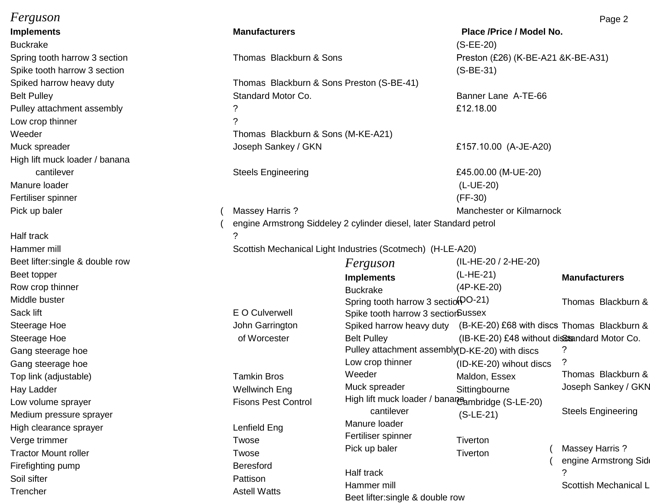# *Ferguson* Page 2

Buckrake (S-EE-20) Spring tooth harrow 3 section Thomas Blackburn & Sons Preston (£26) (K-BE-A21 &K-BE-A31) Low crop thinner ? High lift muck loader / banana Manure loader (L-UE-20) Fertiliser spinner (FF-30)

Half track 2002 and the set of the set of the set of the set of the set of the set of the set of the set of the set of the set of the set of the set of the set of the set of the set of the set of the set of the set of the Beet lifter:single & double row  $Ferguson$  (IL-HE-20 / 2-HE-20) Beet topper (L-HE-21) Row crop thinner (4P-KE-20) Top link (adjustable) Top link (adjustable) Tamkin Bros Hay Ladder News, 1980 and 1990 and 1990 and 1990 wellwinch Eng Sittingbourned Wellwinch Eng Sittingbourned and Medium pressure sprayer<br>Manure loader (Secrets are consumed by the secrets of the secrets are consumed by the secrets of the secrets o High clearance sprayer **Lenfield Eng** Verge trimmer Twose Tractor Mount roller Tractor Mount roller Firefighting pump Beresford Soil sifter **Pattison** 

#### **Implements Manufacturers Place /Price / Model No.**

Spike tooth harrow 3 section (S-BE-31) Spiked harrow heavy duty **Thomas Blackburn & Sons Preston (S-BE-41)** Belt Pulley **Standard Motor Co.** Banner Lane A-TE-66 Co. Pulley attachment assembly a control of the control of the control of the control of the control of the control of the control of the control of the control of the control of the control of the control of the control of th Weeder Weeder **Thomas Blackburn & Sons (M-KE-A21)** Muck spreader **Accord 2018** Joseph Sankey / GKN **E157.10.00** (A-JE-A20)

engine Armstrong Siddeley 2 cylinder diesel, later Standard petrol

Hammer mill Scottish Mechanical Light Industries (Scotmech) (H-LE-A20)

Fertiliser spinner (Fertiliser spinner

Beet lifter:single & double row

Trencher Astell Watts

# $Ferguson$  (IL-HE-20 / 2-HE-20) **Implements Manufacturers Manufacturers** Buckrake (4P-KE-20) Middle buster **Exercise Construction Thomas Blackburn &** Spring tooth harrow 3 section (21) Thomas Blackburn & Sack lift Sack lift E O Culverwell Spike tooth harrow 3 section Sussex Steerage Hoe **Subseter Constructs Constructs** John Garrington Spiked harrow heavy duty (B-KE-20) £68 with discs Thomas Blackburn & Steerage Hoe **Subset A-TE-66 Conner Conner Conner Conner Conner Conner Conner Conner Conner Conner Conner Conner Conner Conner Conner Conner Conner Conner Conner Conner Conner Conner Conner Conner Conner Conner Conner Conn** Gang steerage hoe **E12.18.00** Pulley attachment assembly (D-KE-20) with discs and the control of the control of the control of the control of the control of the control of the control of the control of the control of the c Low crop thinner ? Gang steerage hoe (ID-KE-20) wihout discs Weeder Maldon, Essex Thomas Blackburn & Muck spreader The Sittingbourne The Superintendent Stankey / GKN Low volume sprayer **Fixel Control** Fisons Pest Control Figh lift muck loader / banane<sub>ambridge</sub> (S-LE-20) cantilever (S-LE-21) Steels Engineering Manure loader (L-UE-20) and the contract of the contract of the contract of the contract of the contract of the contract of the contract of the contract of the contract of the contract of the contract of the contract of th cantilever Steels Engineering £45.00.00 (M-UE-20) Pick up baler **Manchester or Kilmarnock** (Massey Harris ? Manchester or Kilmarnock in Manchester or Kilmarnock

Pick up baler Tiverton (Massey Harris ? engine Armstrong Sid Half track 2. The set of the set of the set of the set of the set of the set of the set of the set of the set of the set of the set of the set of the set of the set of the set of the set of the set of the set of the set of Hammer mill Scottish Mechanical Light Industries (Scottish Mechanical Light Industries (Scottish Mechanical Li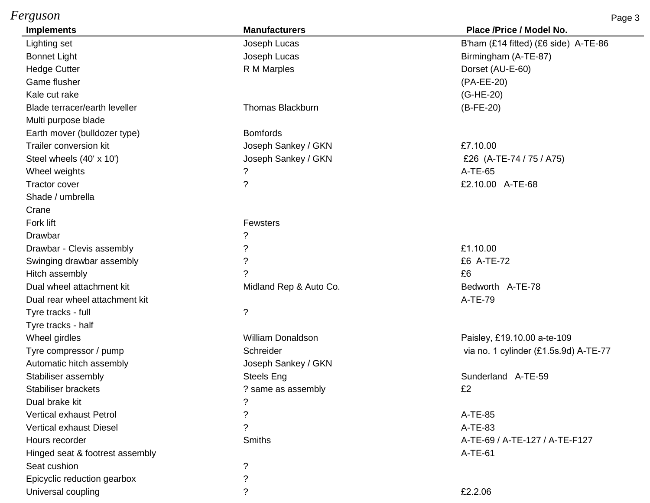## *Ferguson* Page 3

| <b>Implements</b>               | <b>Manufacturers</b>     | Place /Price / Model No.              |
|---------------------------------|--------------------------|---------------------------------------|
| Lighting set                    | Joseph Lucas             | B'ham (£14 fitted) (£6 side) A-TE-86  |
| <b>Bonnet Light</b>             | Joseph Lucas             | Birmingham (A-TE-87)                  |
| <b>Hedge Cutter</b>             | R M Marples              | Dorset (AU-E-60)                      |
| Game flusher                    |                          | (PA-EE-20)                            |
| Kale cut rake                   |                          | (G-HE-20)                             |
| Blade terracer/earth leveller   | <b>Thomas Blackburn</b>  | $(B-FE-20)$                           |
| Multi purpose blade             |                          |                                       |
| Earth mover (bulldozer type)    | <b>Bomfords</b>          |                                       |
| Trailer conversion kit          | Joseph Sankey / GKN      | £7.10.00                              |
| Steel wheels (40' x 10')        | Joseph Sankey / GKN      | £26 (A-TE-74 / 75 / A75)              |
| Wheel weights                   | ?                        | A-TE-65                               |
| <b>Tractor cover</b>            | $\ddot{?}$               | £2.10.00 A-TE-68                      |
| Shade / umbrella                |                          |                                       |
| Crane                           |                          |                                       |
| Fork lift                       | Fewsters                 |                                       |
| Drawbar                         | ?                        |                                       |
| Drawbar - Clevis assembly       | ?                        | £1.10.00                              |
| Swinging drawbar assembly       | ?                        | £6 A-TE-72                            |
| Hitch assembly                  | $\overline{?}$           | £6                                    |
| Dual wheel attachment kit       | Midland Rep & Auto Co.   | Bedworth A-TE-78                      |
| Dual rear wheel attachment kit  |                          | A-TE-79                               |
| Tyre tracks - full              | $\ddot{?}$               |                                       |
| Tyre tracks - half              |                          |                                       |
| Wheel girdles                   | <b>William Donaldson</b> | Paisley, £19.10.00 a-te-109           |
| Tyre compressor / pump          | Schreider                | via no. 1 cylinder (£1.5s.9d) A-TE-77 |
| Automatic hitch assembly        | Joseph Sankey / GKN      |                                       |
| Stabiliser assembly             | <b>Steels Eng</b>        | Sunderland A-TE-59                    |
| Stabiliser brackets             | ? same as assembly       | £2                                    |
| Dual brake kit                  | ?                        |                                       |
| <b>Vertical exhaust Petrol</b>  | $\tilde{?}$              | A-TE-85                               |
| <b>Vertical exhaust Diesel</b>  | $\gamma$                 | A-TE-83                               |
| Hours recorder                  | <b>Smiths</b>            | A-TE-69 / A-TE-127 / A-TE-F127        |
| Hinged seat & footrest assembly |                          | $A-TE-61$                             |
| Seat cushion                    | ?                        |                                       |
| Epicyclic reduction gearbox     | $\tilde{?}$              |                                       |
| Universal coupling              | ?                        | £2.2.06                               |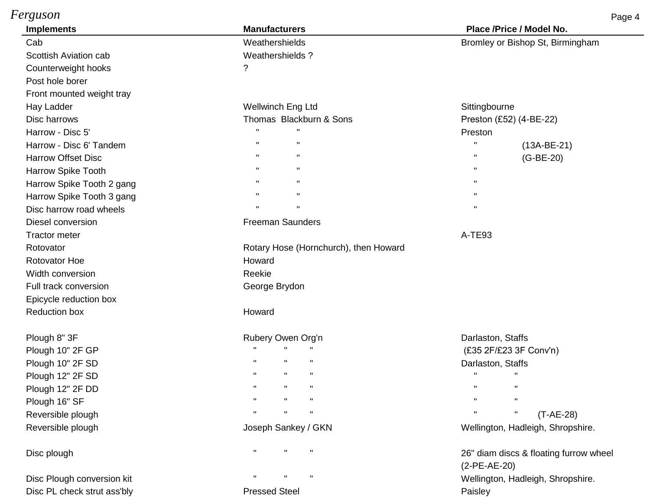| Ferguson                  |                                              | Page 4                                                   |
|---------------------------|----------------------------------------------|----------------------------------------------------------|
| <b>Implements</b>         | <b>Manufacturers</b>                         | Place /Price / Model No.                                 |
| Cab                       | Weathershields                               | Bromley or Bishop St, Birmingham                         |
| Scottish Aviation cab     | Weathershields?                              |                                                          |
| Counterweight hooks       | ?                                            |                                                          |
| Post hole borer           |                                              |                                                          |
| Front mounted weight tray |                                              |                                                          |
| Hay Ladder                | Wellwinch Eng Ltd                            | Sittingbourne                                            |
| Disc harrows              | Thomas Blackburn & Sons                      | Preston (£52) (4-BE-22)                                  |
| Harrow - Disc 5'          | $\mathbf{H}$<br>$\mathbf{H}$                 | Preston                                                  |
| Harrow - Disc 6' Tandem   | $\mathbf H$<br>$\mathbf H$                   | $\mathbf{u}$<br>$(13A-BE-21)$                            |
| <b>Harrow Offset Disc</b> | $\mathbf{H}$<br>$\pmb{\mathsf{H}}$           | $\pmb{\mathsf{H}}$<br>$(G-BE-20)$                        |
| Harrow Spike Tooth        | $\mathbf H$<br>$\mathbf{H}$                  | $\mathbf{H}$                                             |
| Harrow Spike Tooth 2 gang | $\mathbf{H}$<br>$\mathbf{H}$                 | $\mathbf{H}$                                             |
| Harrow Spike Tooth 3 gang | $\mathbf H$<br>$\mathbf{H}$                  | $\mathbf{H}$                                             |
| Disc harrow road wheels   | $\mathbf{H}$<br>$\pmb{\mathsf{H}}$           | $\mathbf{u}$                                             |
| Diesel conversion         | <b>Freeman Saunders</b>                      |                                                          |
| <b>Tractor meter</b>      |                                              | A-TE93                                                   |
| Rotovator                 | Rotary Hose (Hornchurch), then Howard        |                                                          |
| <b>Rotovator Hoe</b>      | Howard                                       |                                                          |
| Width conversion          | Reekie                                       |                                                          |
| Full track conversion     | George Brydon                                |                                                          |
| Epicycle reduction box    |                                              |                                                          |
| <b>Reduction box</b>      | Howard                                       |                                                          |
| Plough 8" 3F              | Rubery Owen Org'n                            | Darlaston, Staffs                                        |
| Plough 10" 2F GP          |                                              | (£35 2F/£23 3F Conv'n)                                   |
| Plough 10" 2F SD          |                                              | Darlaston, Staffs                                        |
| Plough 12" 2F SD          | $\mathbf{H}$<br>$\mathbf{H}$<br>$\mathbf{H}$ | $\mathbf{H}$<br>$\mathbf{H}$                             |
| Plough 12" 2F DD          | Ħ                                            | $\mathbf H$<br>$\mathbf{H}$                              |
| Plough 16" SF             |                                              | $\mathbf{H}$                                             |
| Reversible plough         |                                              | $\pmb{\mathsf{H}}$<br>$\pmb{\mathsf{H}}$<br>$(T-AE-28)$  |
| Reversible plough         | Joseph Sankey / GKN                          | Wellington, Hadleigh, Shropshire.                        |
| Disc plough               | $\mathbf{H}$<br>$\mathbf{u}$<br>$\mathbf{H}$ | 26" diam discs & floating furrow wheel<br>$(2-PE-AE-20)$ |

Disc Plough conversion kit **The Conversion kit Natural Accord Convention** wellington, Hadleigh, Shropshire. Disc PL check strut ass'bly example and the Pressed Steel Paisley Paisley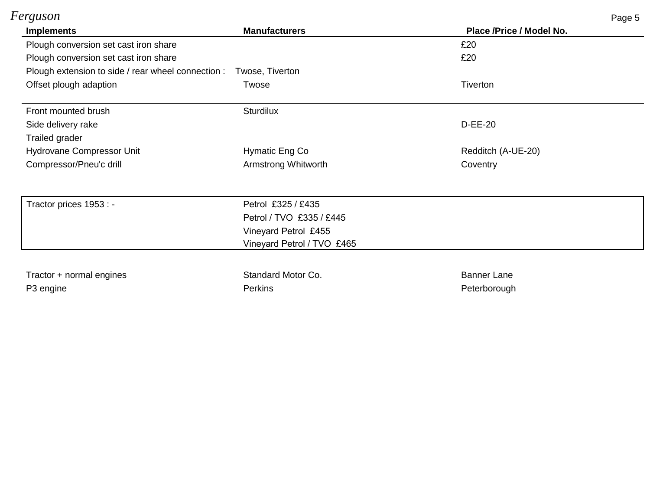| Ferguson                                                                                                       |                            | Page 5                   |                        |
|----------------------------------------------------------------------------------------------------------------|----------------------------|--------------------------|------------------------|
| <b>Implements</b>                                                                                              | <b>Manufacturers</b>       | Place /Price / Model No. |                        |
| Plough conversion set cast iron share                                                                          |                            | £20                      |                        |
| Plough conversion set cast iron share<br>Plough extension to side / rear wheel connection :<br>Twose, Tiverton |                            | £20                      |                        |
|                                                                                                                |                            |                          | Offset plough adaption |
| Front mounted brush                                                                                            | <b>Sturdilux</b>           |                          |                        |
| Side delivery rake                                                                                             |                            | <b>D-EE-20</b>           |                        |
| Trailed grader                                                                                                 |                            |                          |                        |
| Hydrovane Compressor Unit                                                                                      | Hymatic Eng Co             | Redditch (A-UE-20)       |                        |
| Compressor/Pneu'c drill                                                                                        | Armstrong Whitworth        | Coventry                 |                        |
| Tractor prices 1953 : -                                                                                        | Petrol £325 / £435         |                          |                        |
|                                                                                                                | Petrol / TVO £335 / £445   |                          |                        |
|                                                                                                                | Vineyard Petrol £455       |                          |                        |
|                                                                                                                | Vineyard Petrol / TVO £465 |                          |                        |
| Tractor + normal engines                                                                                       | Standard Motor Co.         | <b>Banner Lane</b>       |                        |
| P <sub>3</sub> engine                                                                                          | <b>Perkins</b>             | Peterborough             |                        |